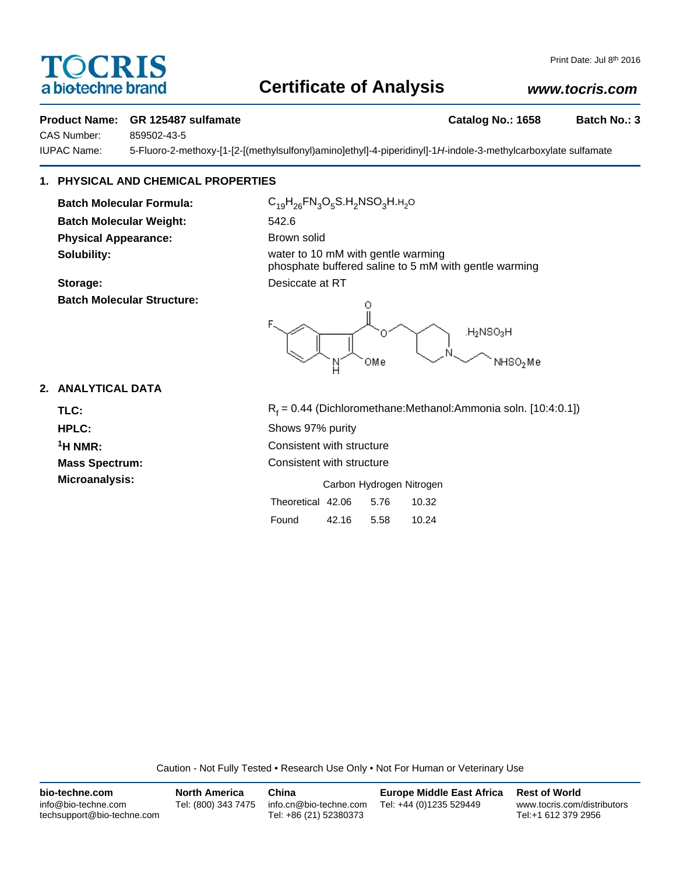# OCRIS a biotechne brand

## **Certificate of Analysis**

## *www.tocris.com*

#### **Product Name: GR 125487 sulfamate Catalog No.: 1658 Batch No.: 3**

CAS Number: 859502-43-5

IUPAC Name: 5-Fluoro-2-methoxy-[1-[2-[(methylsulfonyl)amino]ethyl]-4-piperidinyl]-1*H*-indole-3-methylcarboxylate sulfamate

## **1. PHYSICAL AND CHEMICAL PROPERTIES**

**Batch Molecular Weight:** 542.6 **Physical Appearance:** Brown solid

**Batch Molecular Structure:**

Batch Molecular Formula: C<sub>19</sub>H<sub>26</sub>FN<sub>3</sub>O<sub>5</sub>S.H<sub>2</sub>NSO<sub>3</sub>H.H<sub>2</sub>O **Solubility: Solubility: water to 10 mM with gentle warming** phosphate buffered saline to 5 mM with gentle warming **Storage:** Desiccate at RT



### **2. ANALYTICAL DATA**

TLC: R<sub>f</sub>  $R_f = 0.44$  (Dichloromethane:Methanol:Ammonia soln. [10:4:0.1]) **HPLC:** Shows 97% purity **1H NMR:** Consistent with structure **Mass Spectrum:** Consistent with structure **Microanalysis:** Microanalysis: **Carbon Hydrogen Nitrogen** Theoretical 42.06 5.76 10.32

| Found | 42.16 | 5.58 | 10.24 |
|-------|-------|------|-------|

Caution - Not Fully Tested • Research Use Only • Not For Human or Veterinary Use

| bio-techne.com                                    | <b>North America</b> | China                                            | <b>Europe Middle East Africa</b> | <b>Rest of World</b>                               |
|---------------------------------------------------|----------------------|--------------------------------------------------|----------------------------------|----------------------------------------------------|
| info@bio-techne.com<br>techsupport@bio-techne.com | Tel: (800) 343 7475  | info.cn@bio-techne.com<br>Tel: +86 (21) 52380373 | Tel: +44 (0)1235 529449          | www.tocris.com/distributors<br>Tel:+1 612 379 2956 |